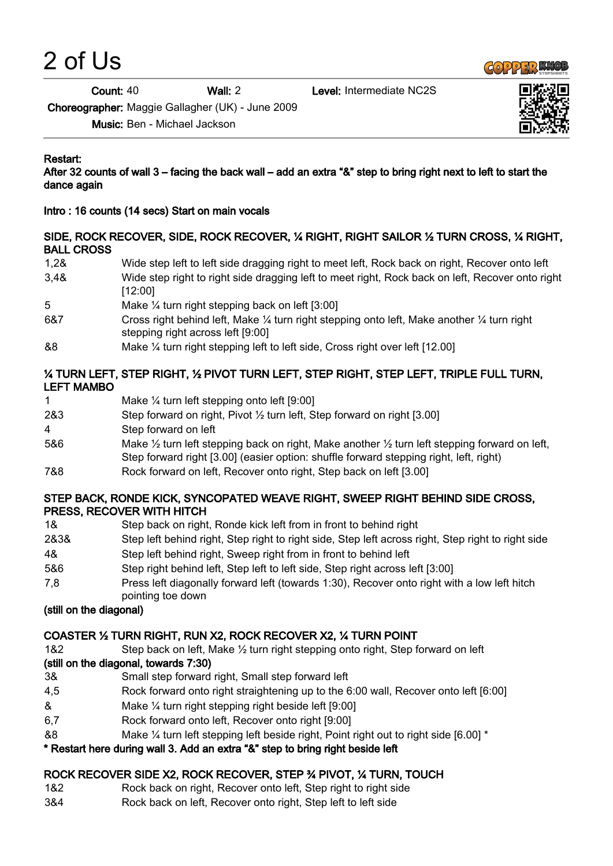2 of Us



Count: 40 Wall: 2 Level: Intermediate NC2S



Choreographer: Maggie Gallagher (UK) - June 2009

Music: Ben - Michael Jackson

#### Restart:

After 32 counts of wall 3 – facing the back wall – add an extra "&" step to bring right next to left to start the dance again

Intro : 16 counts (14 secs) Start on main vocals

#### SIDE, ROCK RECOVER, SIDE, ROCK RECOVER, ¼ RIGHT, RIGHT SAILOR ½ TURN CROSS, ¼ RIGHT, BALL CROSS

- 1,2& Wide step left to left side dragging right to meet left, Rock back on right, Recover onto left 3,4& Wide step right to right side dragging left to meet right, Rock back on left, Recover onto right [12:00] 5 Make ¼ turn right stepping back on left [3:00]
- 6&7 Cross right behind left, Make ¼ turn right stepping onto left, Make another ¼ turn right stepping right across left [9:00]
- &8 Make ¼ turn right stepping left to left side, Cross right over left [12.00]

#### ¼ TURN LEFT, STEP RIGHT, ½ PIVOT TURN LEFT, STEP RIGHT, STEP LEFT, TRIPLE FULL TURN, LEFT MAMBO

- 1 Make ¼ turn left stepping onto left [9:00]
- 2&3 Step forward on right, Pivot ½ turn left, Step forward on right [3.00]
- 4 Step forward on left
- 5&6 Make ½ turn left stepping back on right, Make another ½ turn left stepping forward on left, Step forward right [3.00] (easier option: shuffle forward stepping right, left, right)
- 7&8 Rock forward on left, Recover onto right, Step back on left [3.00]

#### STEP BACK, RONDE KICK, SYNCOPATED WEAVE RIGHT, SWEEP RIGHT BEHIND SIDE CROSS, PRESS, RECOVER WITH HITCH

- 1& Step back on right, Ronde kick left from in front to behind right
- 2&3& Step left behind right, Step right to right side, Step left across right, Step right to right side
- 4& Step left behind right, Sweep right from in front to behind left
- 5&6 Step right behind left, Step left to left side, Step right across left [3:00]
- 7,8 Press left diagonally forward left (towards 1:30), Recover onto right with a low left hitch pointing toe down

# (still on the diagonal)

# COASTER ½ TURN RIGHT, RUN X2, ROCK RECOVER X2, ¼ TURN POINT

1&2 Step back on left, Make ½ turn right stepping onto right, Step forward on left

# (still on the diagonal, towards 7:30)

- 3& Small step forward right, Small step forward left
- 4,5 Rock forward onto right straightening up to the 6:00 wall, Recover onto left [6:00]
- & Make ¼ turn right stepping right beside left [9:00]
- 6,7 Rock forward onto left, Recover onto right [9:00]
- &8 Make ¼ turn left stepping left beside right, Point right out to right side [6.00] \*

# \* Restart here during wall 3. Add an extra "&" step to bring right beside left

# ROCK RECOVER SIDE X2, ROCK RECOVER, STEP ¾ PIVOT, ¼ TURN, TOUCH

- 1&2 Rock back on right, Recover onto left, Step right to right side
- 3&4 Rock back on left, Recover onto right, Step left to left side